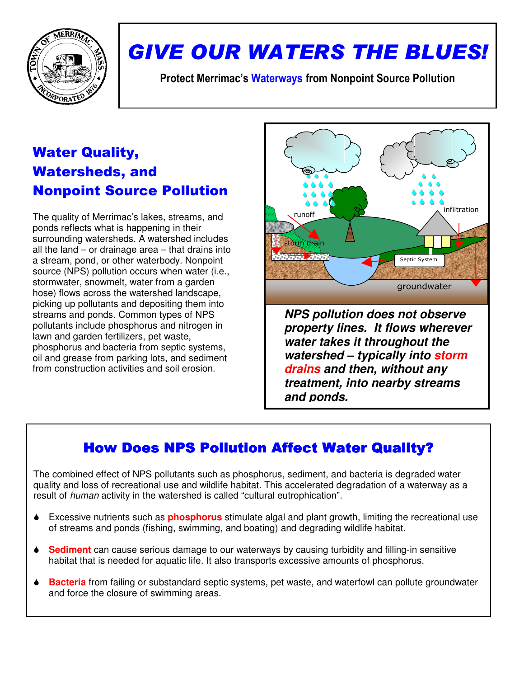

# GIVE OUR WATERS THE BLUES!

Protect Merrimac's Waterways from Nonpoint Source Pollution

## Water Quality, Watersheds, and Nonpoint Source Pollution

The quality of Merrimac's lakes, streams, and ponds reflects what is happening in their surrounding watersheds. A watershed includes all the land – or drainage area – that drains into a stream, pond, or other waterbody. Nonpoint source (NPS) pollution occurs when water (i.e., stormwater, snowmelt, water from a garden hose) flows across the watershed landscape, picking up pollutants and depositing them into streams and ponds. Common types of NPS pollutants include phosphorus and nitrogen in lawn and garden fertilizers, pet waste, phosphorus and bacteria from septic systems, oil and grease from parking lots, and sediment from construction activities and soil erosion.



**property lines. It flows wherever water takes it throughout the watershed – typically into storm drains and then, without any treatment, into nearby streams and ponds.**

## How Does NPS Pollution Affect Water Quality?

The combined effect of NPS pollutants such as phosphorus, sediment, and bacteria is degraded water quality and loss of recreational use and wildlife habitat. This accelerated degradation of a waterway as a result of human activity in the watershed is called "cultural eutrophication".

- Excessive nutrients such as **phosphorus** stimulate algal and plant growth, limiting the recreational use of streams and ponds (fishing, swimming, and boating) and degrading wildlife habitat.
- **Sediment** can cause serious damage to our waterways by causing turbidity and filling-in sensitive habitat that is needed for aquatic life. It also transports excessive amounts of phosphorus.
- **Bacteria** from failing or substandard septic systems, pet waste, and waterfowl can pollute groundwater and force the closure of swimming areas.